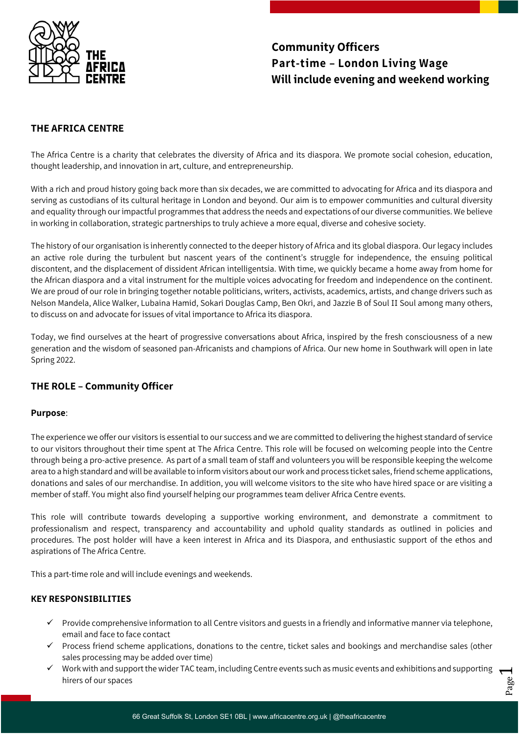

# **Community Officers Part-time – London Living Wage Will include evening and weekend working**

# **THE AFRICA CENTRE**

The Africa Centre is a charity that celebrates the diversity of Africa and its diaspora. We promote social cohesion, education, thought leadership, and innovation in art, culture, and entrepreneurship.

With a rich and proud history going back more than six decades, we are committed to advocating for Africa and its diaspora and serving as custodians of its cultural heritage in London and beyond. Our aim is to empower communities and cultural diversity and equality through our impactful programmes that address the needs and expectations of our diverse communities. We believe in working in collaboration, strategic partnerships to truly achieve a more equal, diverse and cohesive society.

The history of our organisation is inherently connected to the deeper history of Africa and its global diaspora. Our legacy includes an active role during the turbulent but nascent years of the continent's struggle for independence, the ensuing political discontent, and the displacement of dissident African intelligentsia. With time, we quickly became a home away from home for the African diaspora and a vital instrument for the multiple voices advocating for freedom and independence on the continent. We are proud of our role in bringing together notable politicians, writers, activists, academics, artists, and change drivers such as Nelson Mandela, Alice Walker, Lubaina Hamid, Sokari Douglas Camp, Ben Okri, and Jazzie B of Soul II Soul among many others, to discuss on and advocate for issues of vital importance to Africa its diaspora.

Today, we find ourselves at the heart of progressive conversations about Africa, inspired by the fresh consciousness of a new generation and the wisdom of seasoned pan-Africanists and champions of Africa. Our new home in Southwark will open in late Spring 2022.

# **THE ROLE – Community Officer**

### **Purpose**:

The experience we offer our visitors is essential to our success and we are committed to delivering the highest standard of service to our visitors throughout their time spent at The Africa Centre. This role will be focused on welcoming people into the Centre through being a pro-active presence. As part of a small team of staff and volunteers you will be responsible keeping the welcome area to a high standard and will be available to inform visitors about our work and process ticket sales, friend scheme applications, donations and sales of our merchandise. In addition, you will welcome visitors to the site who have hired space or are visiting a member of staff. You might also find yourself helping our programmes team deliver Africa Centre events.

This role will contribute towards developing a supportive working environment, and demonstrate a commitment to professionalism and respect, transparency and accountability and uphold quality standards as outlined in policies and procedures. The post holder will have a keen interest in Africa and its Diaspora, and enthusiastic support of the ethos and aspirations of The Africa Centre.

This a part-time role and will include evenings and weekends.

## **KEY RESPONSIBILITIES**

- $\checkmark$  Provide comprehensive information to all Centre visitors and guests in a friendly and informative manner via telephone, email and face to face contact
- $\checkmark$  Process friend scheme applications, donations to the centre, ticket sales and bookings and merchandise sales (other sales processing may be added over time)
- $\blacktriangleleft$  $\checkmark$  Work with and support the wider TAC team, including Centre events such as music events and exhibitions and supporting hirers of our spaces

Page